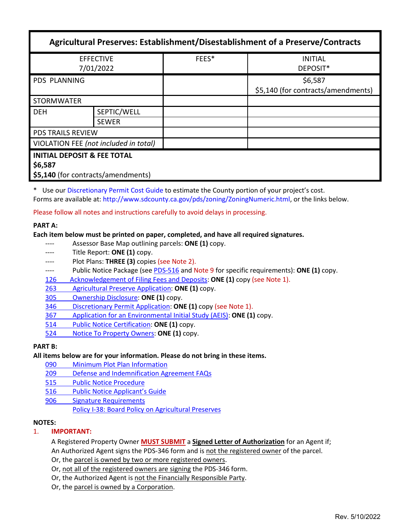| Agricultural Preserves: Establishment/Disestablishment of a Preserve/Contracts          |                             |       |                                               |  |
|-----------------------------------------------------------------------------------------|-----------------------------|-------|-----------------------------------------------|--|
| <b>EFFECTIVE</b><br>7/01/2022                                                           |                             | FEES* | <b>INITIAL</b><br>DEPOSIT*                    |  |
| <b>PDS PLANNING</b>                                                                     |                             |       | \$6,587<br>\$5,140 (for contracts/amendments) |  |
| <b>STORMWATER</b>                                                                       |                             |       |                                               |  |
| <b>DEH</b>                                                                              | SEPTIC/WELL<br><b>SEWER</b> |       |                                               |  |
| <b>PDS TRAILS REVIEW</b>                                                                |                             |       |                                               |  |
| VIOLATION FEE (not included in total)                                                   |                             |       |                                               |  |
| <b>INITIAL DEPOSIT &amp; FEE TOTAL</b><br>\$6,587<br>\$5,140 (for contracts/amendments) |                             |       |                                               |  |

\* Use our [Discretionary Permit Cost Guide](http://www.sandiegocounty.gov/content/dam/sdc/pds/docs/Discretionary_Permit_Cost_Guide.xlsx) to estimate the County portion of your project's cost. Forms are available at: [http://www.sdcounty.ca.gov/pds/zoning/ZoningNumeric.html,](http://www.sdcounty.ca.gov/pds/zoning/ZoningNumeric.html) or the links below.

Please follow all notes and instructions carefully to avoid delays in processing.

## **PART A:**

## **Each item below must be printed on paper, completed, and have all required signatures.**

- ---- Assessor Base Map outlining parcels: **ONE (1)** copy.
- ---- Title Report: **ONE (1)** copy.
- Plot Plans: THREE (3) copies (see Note 2).
- ---- Public Notice Package (see [PDS-516](https://www.sandiegocounty.gov/content/dam/sdc/pds/zoning/formfields/PDS-PLN-516.pdf) and Note 9 for specific requirements): **ONE (1)** copy.
- [126 Acknowledgement of Filing Fees and Deposits:](https://www.sandiegocounty.gov/content/dam/sdc/pds/zoning/formfields/PDS-PLN-126.pdf) **ONE (1)** copy (see Note 1).
- 263 [Agricultural Preserve Application:](https://www.sandiegocounty.gov/content/dam/sdc/pds/zoning/formfields/PDS-PLN-263.pdf) **ONE (1)** copy.
- [305 Ownership Disclosure:](https://www.sandiegocounty.gov/content/dam/sdc/pds/zoning/formfields/PDS-PLN-305.pdf) **ONE (1)** copy.
- 346 [Discretionary Permit Application:](https://www.sandiegocounty.gov/content/dam/sdc/pds/zoning/formfields/PDS-PLN-346.pdf) **ONE (1)** copy (see Note 1).
- 367 [Application for an Environmental Initial Study](https://www.sandiegocounty.gov/content/dam/sdc/pds/zoning/formfields/PDS-PLN-367.pdf) (AEIS): **ONE (1)** copy.
- 514 [Public Notice Certification:](https://www.sandiegocounty.gov/content/dam/sdc/pds/zoning/formfields/PDS-PLN-514.pdf) **ONE (1)** copy.
- 524 [Notice To Property Owners:](https://www.sandiegocounty.gov/content/dam/sdc/pds/zoning/formfields/PDS-PLN-524.pdf) **ONE (1)** copy.

### **PART B:**

### **All items below are for your information. Please do not bring in these items.**

- 090 [Minimum Plot Plan Information](http://www.sdcounty.ca.gov/pds/docs/pds090.pdf)
- 209 [Defense and Indemnification Agreement FAQs](https://www.sandiegocounty.gov/content/dam/sdc/pds/zoning/formfields/PDS-PLN-209.pdf)
- 515 Public [Notice Procedure](https://www.sandiegocounty.gov/content/dam/sdc/pds/zoning/formfields/PDS-PLN-515.pdf)
- [516 Public Notice Applicant's Guide](https://www.sandiegocounty.gov/content/dam/sdc/pds/zoning/formfields/PDS-PLN-516.pdf)
- [906 Signature Requirements](https://www.sandiegocounty.gov/content/dam/sdc/pds/zoning/formfields/PDS-PLN-906.pdf) 
	- [Policy I-38: Board Policy on Agricultural Preserves](http://www.sdcounty.ca.gov/cob/docs/policy/I-38.pdf)

### **NOTES:**

# 1. **IMPORTANT:**

A Registered Property Owner **MUST SUBMIT** a **Signed Letter of Authorization** for an Agent if; An Authorized Agent signs the PDS-346 form and is not the registered owner of the parcel.

Or, the parcel is owned by two or more registered owners.

Or, not all of the registered owners are signing the PDS-346 form.

Or, the Authorized Agent is not the Financially Responsible Party.

Or, the parcel is owned by a Corporation.